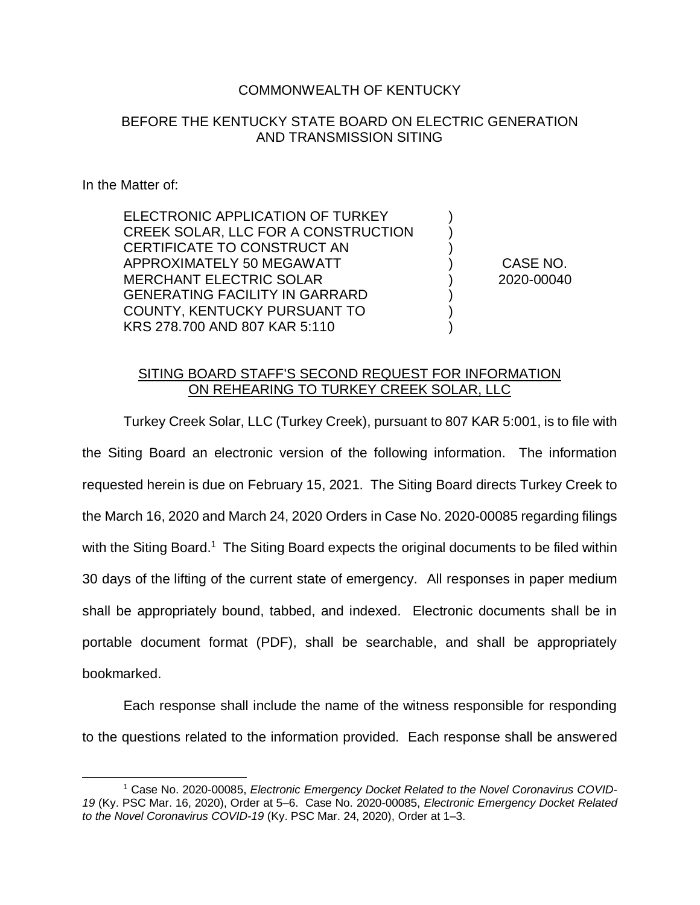## COMMONWEALTH OF KENTUCKY

## BEFORE THE KENTUCKY STATE BOARD ON ELECTRIC GENERATION AND TRANSMISSION SITING

## In the Matter of:

 $\overline{a}$ 

ELECTRONIC APPLICATION OF TURKEY CREEK SOLAR, LLC FOR A CONSTRUCTION CERTIFICATE TO CONSTRUCT AN APPROXIMATELY 50 MEGAWATT MERCHANT ELECTRIC SOLAR GENERATING FACILITY IN GARRARD COUNTY, KENTUCKY PURSUANT TO KRS 278.700 AND 807 KAR 5:110

CASE NO. 2020-00040

) ) ) ) ) ) ) )

## SITING BOARD STAFF'S SECOND REQUEST FOR INFORMATION ON REHEARING TO TURKEY CREEK SOLAR, LLC

Turkey Creek Solar, LLC (Turkey Creek), pursuant to 807 KAR 5:001, is to file with the Siting Board an electronic version of the following information. The information requested herein is due on February 15, 2021. The Siting Board directs Turkey Creek to the March 16, 2020 and March 24, 2020 Orders in Case No. 2020-00085 regarding filings with the Siting Board.<sup>1</sup> The Siting Board expects the original documents to be filed within 30 days of the lifting of the current state of emergency. All responses in paper medium shall be appropriately bound, tabbed, and indexed. Electronic documents shall be in portable document format (PDF), shall be searchable, and shall be appropriately bookmarked.

Each response shall include the name of the witness responsible for responding to the questions related to the information provided. Each response shall be answered

<sup>&</sup>lt;sup>1</sup> Case No. 2020-00085, *Electronic Emergency Docket Related to the Novel Coronavirus COVID-19* (Ky. PSC Mar. 16, 2020), Order at 5–6. Case No. 2020-00085, *Electronic Emergency Docket Related to the Novel Coronavirus COVID-19* (Ky. PSC Mar. 24, 2020), Order at 1–3.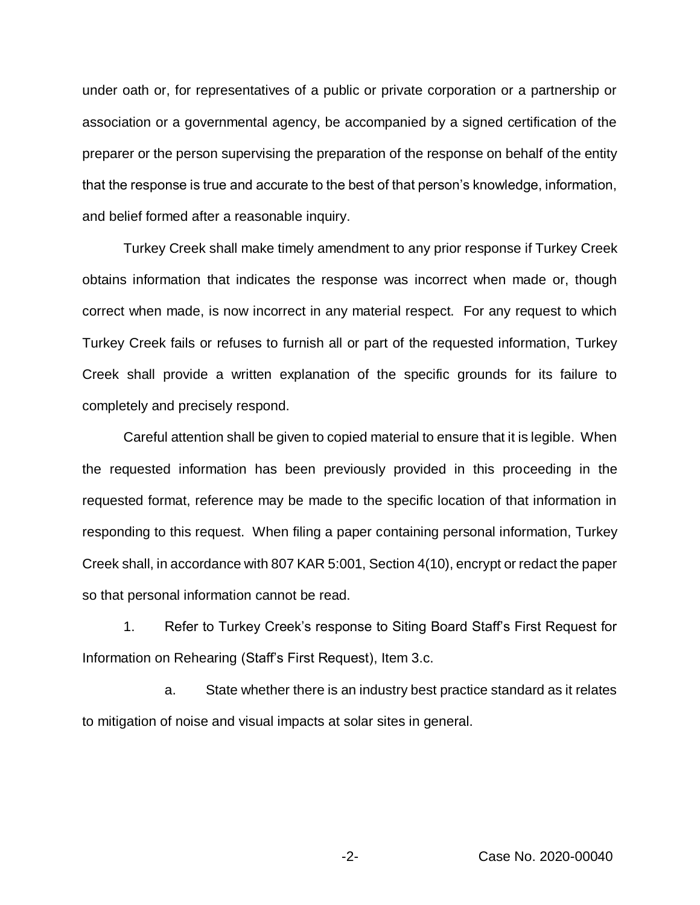under oath or, for representatives of a public or private corporation or a partnership or association or a governmental agency, be accompanied by a signed certification of the preparer or the person supervising the preparation of the response on behalf of the entity that the response is true and accurate to the best of that person's knowledge, information, and belief formed after a reasonable inquiry.

Turkey Creek shall make timely amendment to any prior response if Turkey Creek obtains information that indicates the response was incorrect when made or, though correct when made, is now incorrect in any material respect. For any request to which Turkey Creek fails or refuses to furnish all or part of the requested information, Turkey Creek shall provide a written explanation of the specific grounds for its failure to completely and precisely respond.

Careful attention shall be given to copied material to ensure that it is legible. When the requested information has been previously provided in this proceeding in the requested format, reference may be made to the specific location of that information in responding to this request. When filing a paper containing personal information, Turkey Creek shall, in accordance with 807 KAR 5:001, Section 4(10), encrypt or redact the paper so that personal information cannot be read.

1. Refer to Turkey Creek's response to Siting Board Staff's First Request for Information on Rehearing (Staff's First Request), Item 3.c.

a. State whether there is an industry best practice standard as it relates to mitigation of noise and visual impacts at solar sites in general.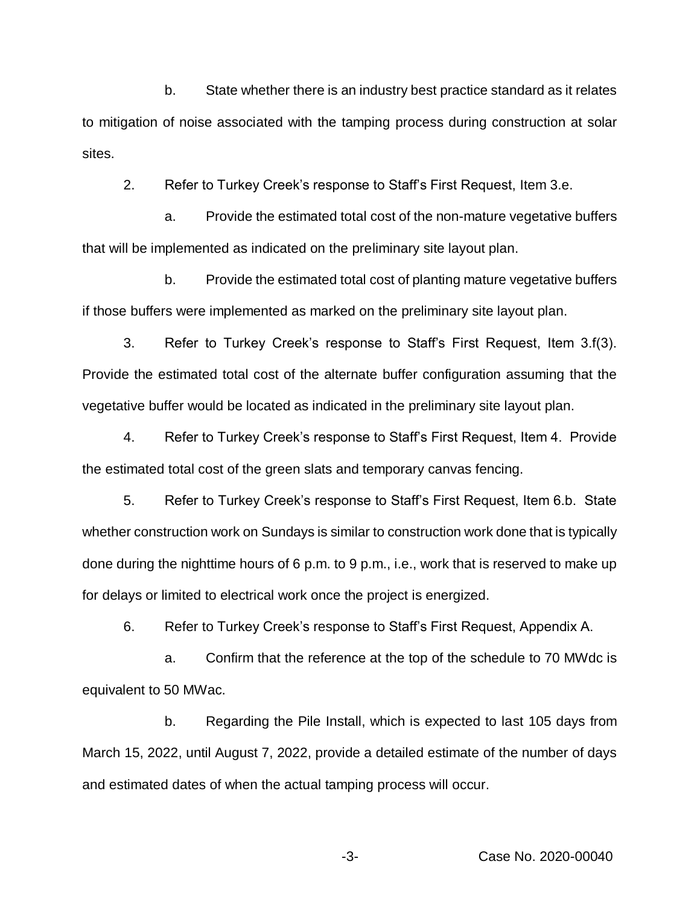b. State whether there is an industry best practice standard as it relates to mitigation of noise associated with the tamping process during construction at solar sites.

2. Refer to Turkey Creek's response to Staff's First Request, Item 3.e.

a. Provide the estimated total cost of the non-mature vegetative buffers that will be implemented as indicated on the preliminary site layout plan.

b. Provide the estimated total cost of planting mature vegetative buffers if those buffers were implemented as marked on the preliminary site layout plan.

3. Refer to Turkey Creek's response to Staff's First Request, Item 3.f(3). Provide the estimated total cost of the alternate buffer configuration assuming that the vegetative buffer would be located as indicated in the preliminary site layout plan.

4. Refer to Turkey Creek's response to Staff's First Request, Item 4. Provide the estimated total cost of the green slats and temporary canvas fencing.

5. Refer to Turkey Creek's response to Staff's First Request, Item 6.b. State whether construction work on Sundays is similar to construction work done that is typically done during the nighttime hours of 6 p.m. to 9 p.m., i.e., work that is reserved to make up for delays or limited to electrical work once the project is energized.

6. Refer to Turkey Creek's response to Staff's First Request, Appendix A.

a. Confirm that the reference at the top of the schedule to 70 MWdc is equivalent to 50 MWac.

b. Regarding the Pile Install, which is expected to last 105 days from March 15, 2022, until August 7, 2022, provide a detailed estimate of the number of days and estimated dates of when the actual tamping process will occur.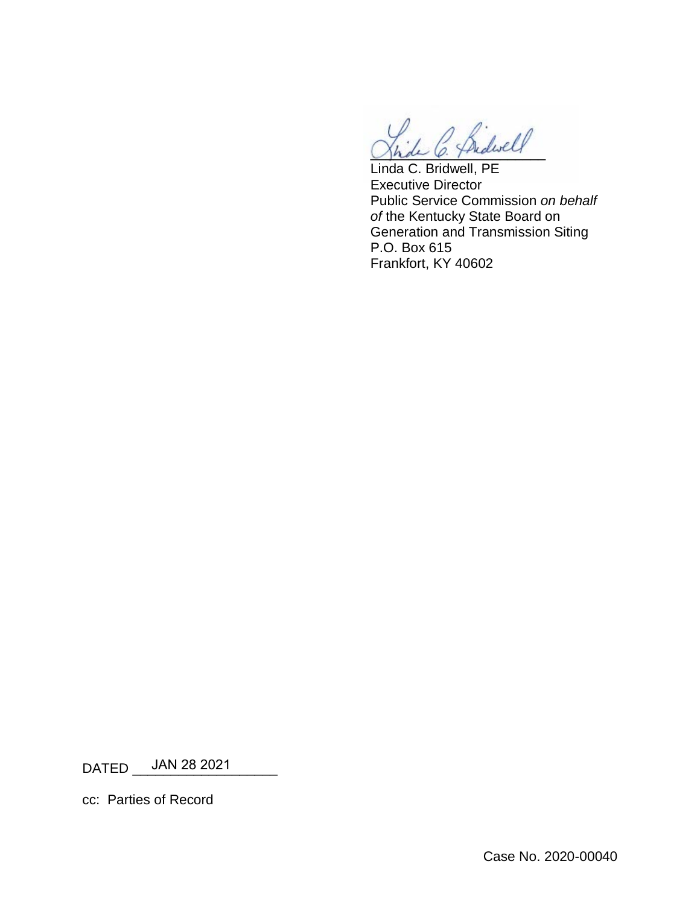2 Bidwell

Linda C. Bridwell, PE Executive Director Public Service Commission *on behalf of* the Kentucky State Board on Generation and Transmission Siting P.O. Box 615 Frankfort, KY 40602

DATED \_\_\_\_JAN 28 2021\_\_\_\_\_\_\_\_

cc: Parties of Record